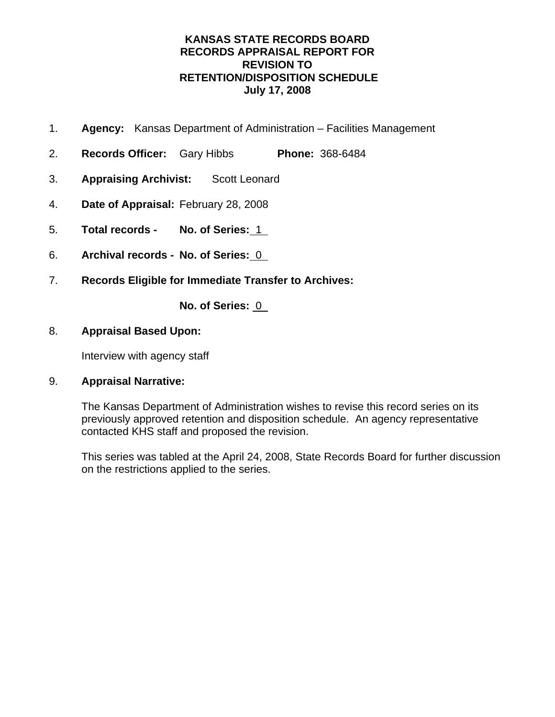- 1. **Agency:** Kansas Department of Administration Facilities Management
- 2. **Records Officer:** Gary Hibbs **Phone:** 368-6484
- 3. **Appraising Archivist:** Scott Leonard
- 4. **Date of Appraisal:** February 28, 2008
- 5. **Total records No. of Series:** 1
- 6. **Archival records No. of Series:** 0
- 7. **Records Eligible for Immediate Transfer to Archives:**

**No. of Series:** 0

## 8. **Appraisal Based Upon:**

Interview with agency staff

## 9. **Appraisal Narrative:**

The Kansas Department of Administration wishes to revise this record series on its previously approved retention and disposition schedule. An agency representative contacted KHS staff and proposed the revision.

This series was tabled at the April 24, 2008, State Records Board for further discussion on the restrictions applied to the series.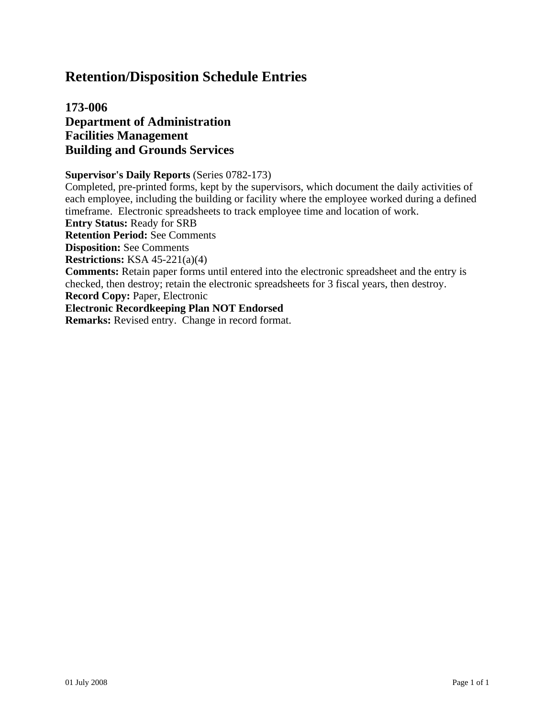## **173-006 Department of Administration Facilities Management Building and Grounds Services**

#### **Supervisor's Daily Reports** (Series 0782-173)

Completed, pre-printed forms, kept by the supervisors, which document the daily activities of each employee, including the building or facility where the employee worked during a defined timeframe. Electronic spreadsheets to track employee time and location of work.

**Entry Status:** Ready for SRB

**Retention Period:** See Comments

**Disposition:** See Comments

**Restrictions:** KSA 45-221(a)(4)

**Comments:** Retain paper forms until entered into the electronic spreadsheet and the entry is checked, then destroy; retain the electronic spreadsheets for 3 fiscal years, then destroy.

**Record Copy:** Paper, Electronic

**Electronic Recordkeeping Plan NOT Endorsed**

**Remarks:** Revised entry. Change in record format.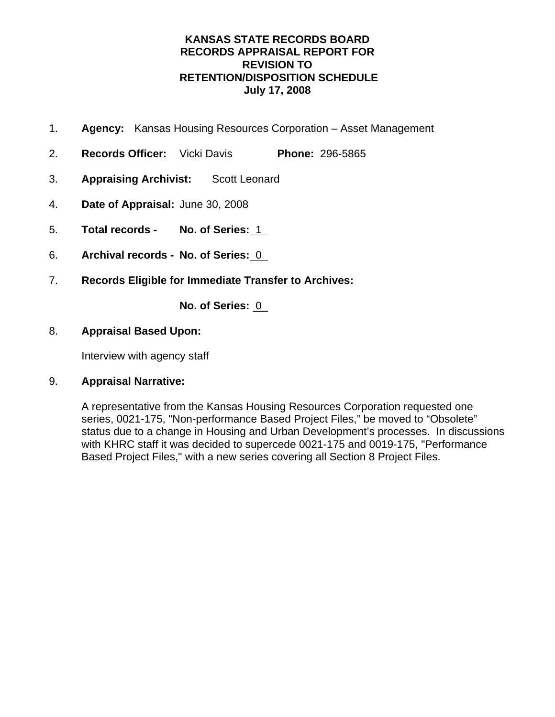- 1. **Agency:** Kansas Housing Resources Corporation Asset Management
- 2. **Records Officer:** Vicki Davis **Phone:** 296-5865
- 3. **Appraising Archivist:** Scott Leonard
- 4. **Date of Appraisal:** June 30, 2008
- 5. **Total records No. of Series:** 1
- 6. **Archival records No. of Series:** 0
- 7. **Records Eligible for Immediate Transfer to Archives:**

**No. of Series:** 0

## 8. **Appraisal Based Upon:**

Interview with agency staff

## 9. **Appraisal Narrative:**

A representative from the Kansas Housing Resources Corporation requested one series, 0021-175, "Non-performance Based Project Files," be moved to "Obsolete" status due to a change in Housing and Urban Development's processes. In discussions with KHRC staff it was decided to supercede 0021-175 and 0019-175, "Performance Based Project Files," with a new series covering all Section 8 Project Files.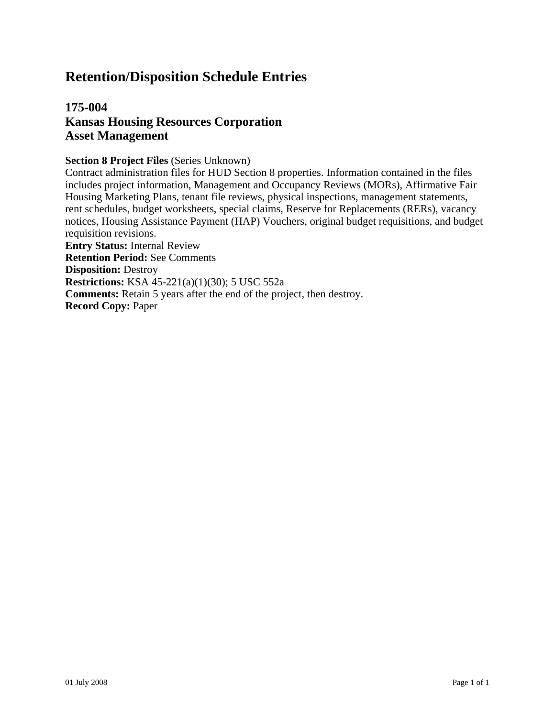## **175-004 Kansas Housing Resources Corporation Asset Management**

#### **Section 8 Project Files** (Series Unknown)

Contract administration files for HUD Section 8 properties. Information contained in the files includes project information, Management and Occupancy Reviews (MORs), Affirmative Fair Housing Marketing Plans, tenant file reviews, physical inspections, management statements, rent schedules, budget worksheets, special claims, Reserve for Replacements (RERs), vacancy notices, Housing Assistance Payment (HAP) Vouchers, original budget requisitions, and budget requisition revisions. **Entry Status:** Internal Review **Retention Period:** See Comments **Disposition:** Destroy

**Restrictions:** KSA 45-221(a)(1)(30); 5 USC 552a

**Comments:** Retain 5 years after the end of the project, then destroy.

**Record Copy:** Paper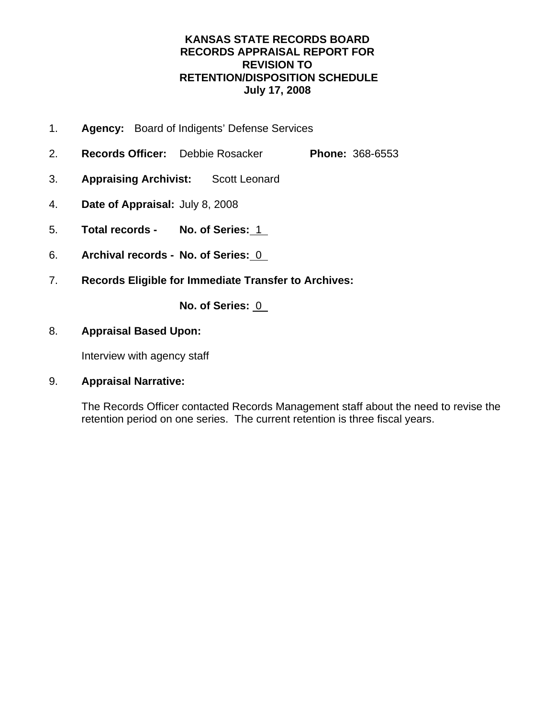- 1. **Agency:** Board of Indigents' Defense Services
- 2. **Records Officer:** Debbie Rosacker **Phone:** 368-6553
- 3. **Appraising Archivist:** Scott Leonard
- 4. **Date of Appraisal:** July 8, 2008
- 5. **Total records No. of Series:** 1
- 6. **Archival records No. of Series:** 0
- 7. **Records Eligible for Immediate Transfer to Archives:**

**No. of Series:** 0

## 8. **Appraisal Based Upon:**

Interview with agency staff

## 9. **Appraisal Narrative:**

The Records Officer contacted Records Management staff about the need to revise the retention period on one series. The current retention is three fiscal years.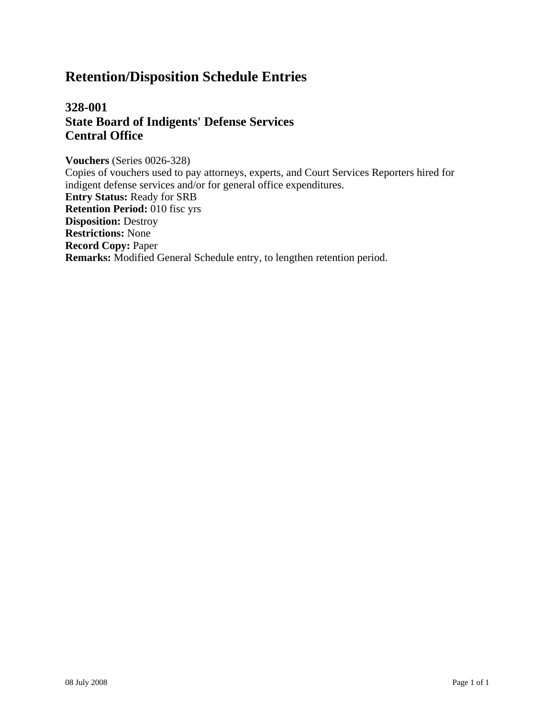## **328-001 State Board of Indigents' Defense Services Central Office**

**Vouchers** (Series 0026-328) Copies of vouchers used to pay attorneys, experts, and Court Services Reporters hired for indigent defense services and/or for general office expenditures. **Entry Status:** Ready for SRB **Retention Period:** 010 fisc yrs **Disposition:** Destroy **Restrictions:** None **Record Copy:** Paper **Remarks:** Modified General Schedule entry, to lengthen retention period.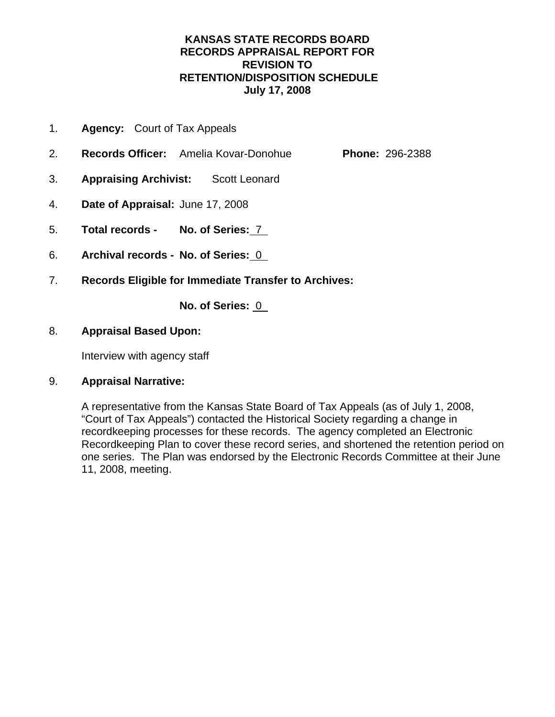- 1. **Agency:** Court of Tax Appeals
- 2. **Records Officer:** Amelia Kovar-Donohue **Phone:** 296-2388
- 3. **Appraising Archivist:** Scott Leonard
- 4. **Date of Appraisal:** June 17, 2008
- 5. **Total records No. of Series:** 7
- 6. **Archival records No. of Series:** 0
- 7. **Records Eligible for Immediate Transfer to Archives:**

**No. of Series:** 0

## 8. **Appraisal Based Upon:**

Interview with agency staff

## 9. **Appraisal Narrative:**

A representative from the Kansas State Board of Tax Appeals (as of July 1, 2008, "Court of Tax Appeals") contacted the Historical Society regarding a change in recordkeeping processes for these records. The agency completed an Electronic Recordkeeping Plan to cover these record series, and shortened the retention period on one series. The Plan was endorsed by the Electronic Records Committee at their June 11, 2008, meeting.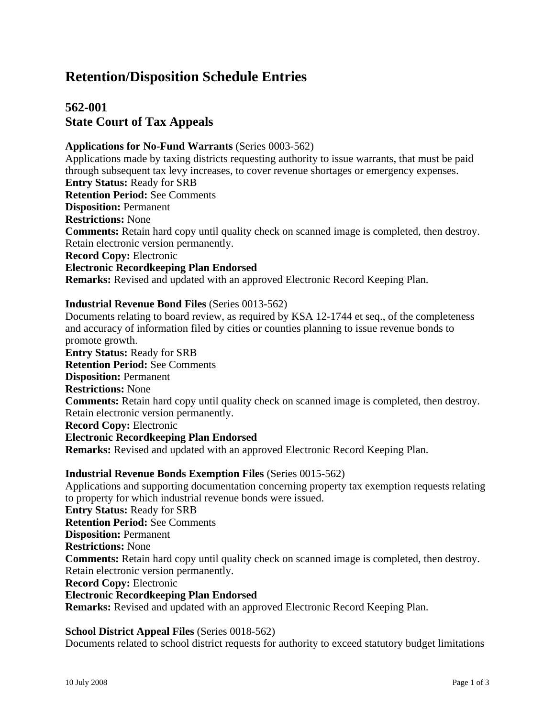## **562-001 State Court of Tax Appeals**

#### **Applications for No-Fund Warrants** (Series 0003-562)

Applications made by taxing districts requesting authority to issue warrants, that must be paid through subsequent tax levy increases, to cover revenue shortages or emergency expenses. **Entry Status:** Ready for SRB **Retention Period:** See Comments **Disposition:** Permanent **Restrictions:** None **Comments:** Retain hard copy until quality check on scanned image is completed, then destroy. Retain electronic version permanently. **Record Copy:** Electronic **Electronic Recordkeeping Plan Endorsed Remarks:** Revised and updated with an approved Electronic Record Keeping Plan.

#### **Industrial Revenue Bond Files** (Series 0013-562)

Documents relating to board review, as required by KSA 12-1744 et seq., of the completeness and accuracy of information filed by cities or counties planning to issue revenue bonds to promote growth. **Entry Status:** Ready for SRB **Retention Period:** See Comments **Disposition:** Permanent **Restrictions:** None **Comments:** Retain hard copy until quality check on scanned image is completed, then destroy. Retain electronic version permanently. **Record Copy:** Electronic **Electronic Recordkeeping Plan Endorsed**

**Remarks:** Revised and updated with an approved Electronic Record Keeping Plan.

#### **Industrial Revenue Bonds Exemption Files** (Series 0015-562)

Applications and supporting documentation concerning property tax exemption requests relating to property for which industrial revenue bonds were issued. **Entry Status:** Ready for SRB **Retention Period:** See Comments **Disposition:** Permanent **Restrictions:** None **Comments:** Retain hard copy until quality check on scanned image is completed, then destroy. Retain electronic version permanently. **Record Copy:** Electronic **Electronic Recordkeeping Plan Endorsed**

**Remarks:** Revised and updated with an approved Electronic Record Keeping Plan.

#### **School District Appeal Files** (Series 0018-562)

Documents related to school district requests for authority to exceed statutory budget limitations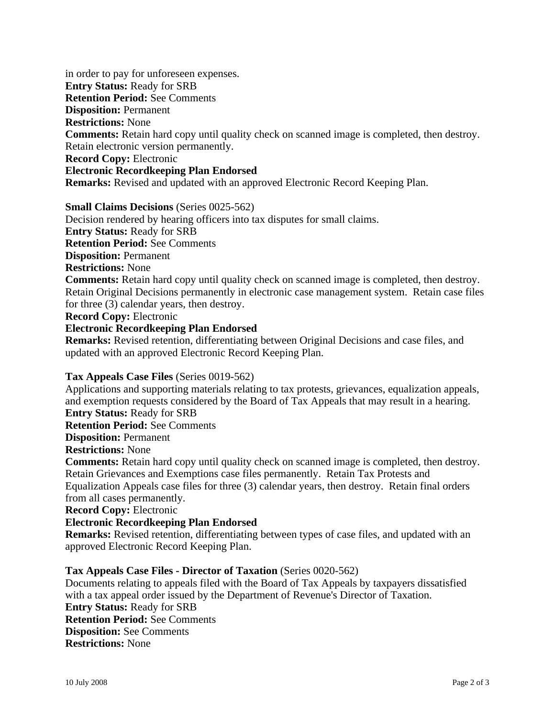in order to pay for unforeseen expenses. **Entry Status:** Ready for SRB **Retention Period:** See Comments **Disposition:** Permanent **Restrictions:** None **Comments:** Retain hard copy until quality check on scanned image is completed, then destroy. Retain electronic version permanently. **Record Copy:** Electronic **Electronic Recordkeeping Plan Endorsed Remarks:** Revised and updated with an approved Electronic Record Keeping Plan.

#### **Small Claims Decisions** (Series 0025-562)

Decision rendered by hearing officers into tax disputes for small claims. **Entry Status:** Ready for SRB

**Retention Period:** See Comments

**Disposition:** Permanent

**Restrictions:** None

**Comments:** Retain hard copy until quality check on scanned image is completed, then destroy. Retain Original Decisions permanently in electronic case management system. Retain case files for three (3) calendar years, then destroy.

**Record Copy:** Electronic

**Electronic Recordkeeping Plan Endorsed**

**Remarks:** Revised retention, differentiating between Original Decisions and case files, and updated with an approved Electronic Record Keeping Plan.

#### **Tax Appeals Case Files** (Series 0019-562)

Applications and supporting materials relating to tax protests, grievances, equalization appeals, and exemption requests considered by the Board of Tax Appeals that may result in a hearing. **Entry Status:** Ready for SRB

**Retention Period:** See Comments

**Disposition:** Permanent

**Restrictions:** None

**Comments:** Retain hard copy until quality check on scanned image is completed, then destroy. Retain Grievances and Exemptions case files permanently. Retain Tax Protests and Equalization Appeals case files for three (3) calendar years, then destroy. Retain final orders from all cases permanently.

**Record Copy:** Electronic

#### **Electronic Recordkeeping Plan Endorsed**

**Remarks:** Revised retention, differentiating between types of case files, and updated with an approved Electronic Record Keeping Plan.

#### **Tax Appeals Case Files - Director of Taxation** (Series 0020-562)

Documents relating to appeals filed with the Board of Tax Appeals by taxpayers dissatisfied with a tax appeal order issued by the Department of Revenue's Director of Taxation. **Entry Status:** Ready for SRB **Retention Period:** See Comments **Disposition:** See Comments **Restrictions:** None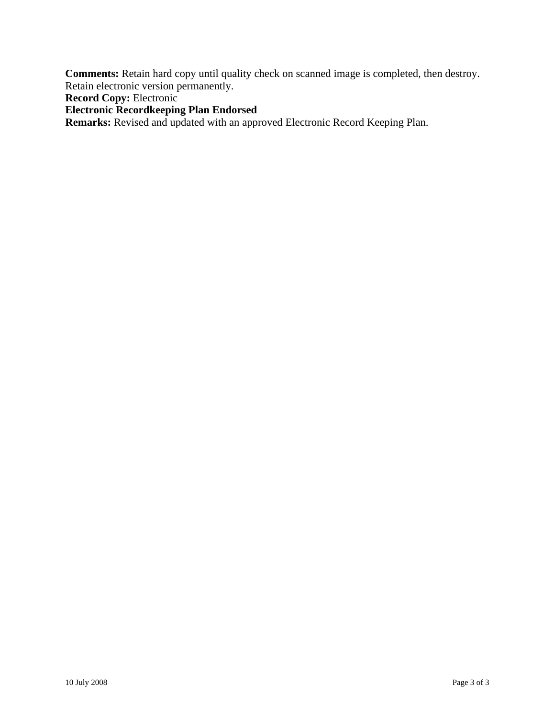**Comments:** Retain hard copy until quality check on scanned image is completed, then destroy. Retain electronic version permanently.

**Record Copy:** Electronic

**Electronic Recordkeeping Plan Endorsed**

**Remarks:** Revised and updated with an approved Electronic Record Keeping Plan.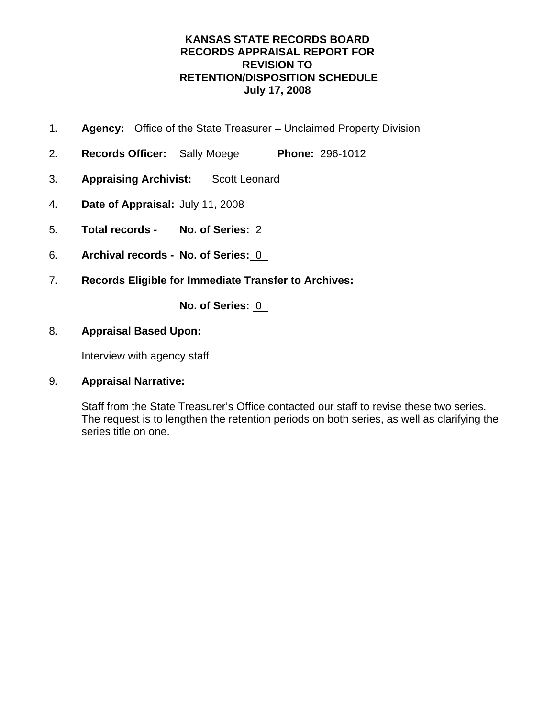- 1. **Agency:** Office of the State Treasurer Unclaimed Property Division
- 2. **Records Officer:** Sally Moege **Phone:** 296-1012
- 3. **Appraising Archivist:** Scott Leonard
- 4. **Date of Appraisal:** July 11, 2008
- 5. **Total records No. of Series:** 2
- 6. **Archival records No. of Series:** 0
- 7. **Records Eligible for Immediate Transfer to Archives:**

**No. of Series:** 0

### 8. **Appraisal Based Upon:**

Interview with agency staff

## 9. **Appraisal Narrative:**

Staff from the State Treasurer's Office contacted our staff to revise these two series. The request is to lengthen the retention periods on both series, as well as clarifying the series title on one.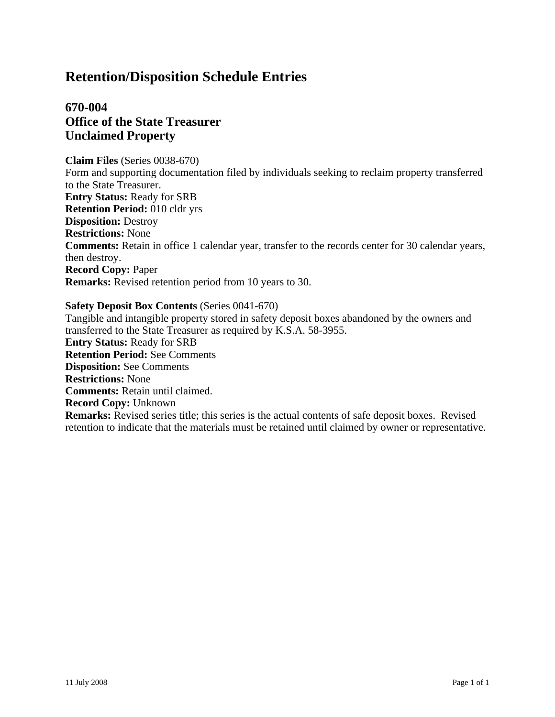## **670-004 Office of the State Treasurer Unclaimed Property**

**Claim Files** (Series 0038-670) Form and supporting documentation filed by individuals seeking to reclaim property transferred to the State Treasurer. **Entry Status:** Ready for SRB **Retention Period:** 010 cldr yrs **Disposition:** Destroy **Restrictions:** None **Comments:** Retain in office 1 calendar year, transfer to the records center for 30 calendar years, then destroy. **Record Copy:** Paper **Remarks:** Revised retention period from 10 years to 30.

#### **Safety Deposit Box Contents** (Series 0041-670)

Tangible and intangible property stored in safety deposit boxes abandoned by the owners and transferred to the State Treasurer as required by K.S.A. 58-3955. **Entry Status:** Ready for SRB **Retention Period:** See Comments **Disposition:** See Comments **Restrictions:** None **Comments:** Retain until claimed. **Record Copy:** Unknown **Remarks:** Revised series title; this series is the actual contents of safe deposit boxes. Revised retention to indicate that the materials must be retained until claimed by owner or representative.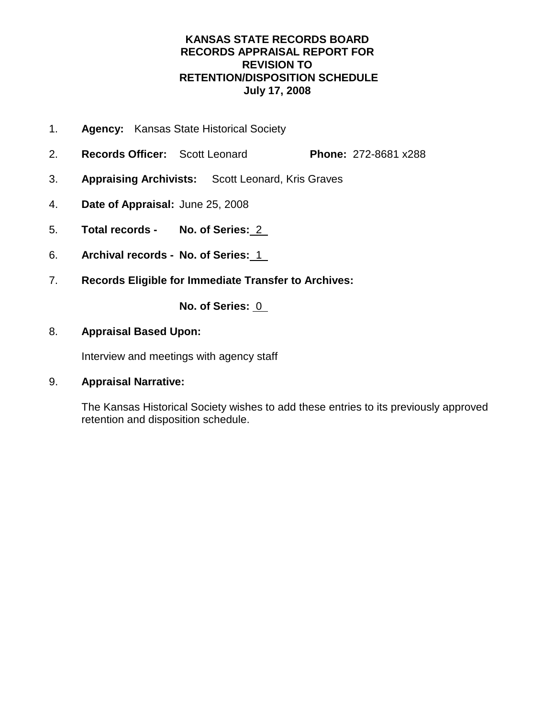- 1. **Agency:** Kansas State Historical Society
- 2. **Records Officer:** Scott Leonard **Phone:** 272-8681 x288
- 3. **Appraising Archivists:** Scott Leonard, Kris Graves
- 4. **Date of Appraisal:** June 25, 2008
- 5. **Total records No. of Series:** 2
- 6. **Archival records No. of Series:** 1
- 7. **Records Eligible for Immediate Transfer to Archives:**

**No. of Series:** 0

## 8. **Appraisal Based Upon:**

Interview and meetings with agency staff

## 9. **Appraisal Narrative:**

The Kansas Historical Society wishes to add these entries to its previously approved retention and disposition schedule.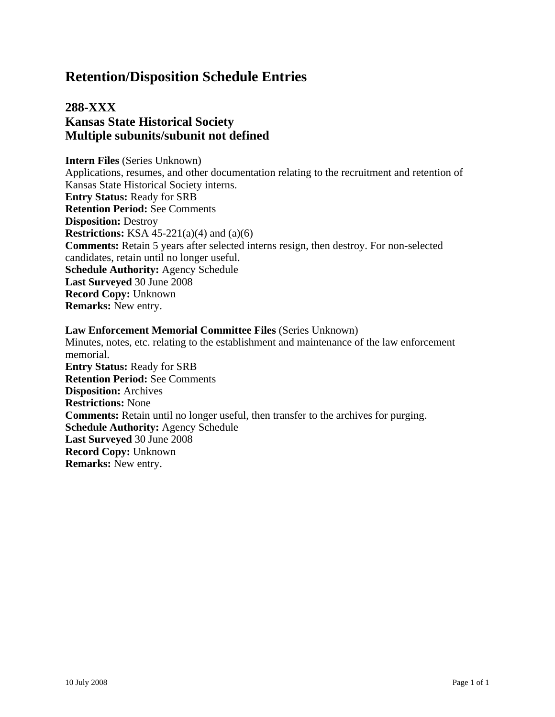## **288-XXX Kansas State Historical Society Multiple subunits/subunit not defined**

**Intern Files** (Series Unknown) Applications, resumes, and other documentation relating to the recruitment and retention of Kansas State Historical Society interns. **Entry Status:** Ready for SRB **Retention Period:** See Comments **Disposition:** Destroy **Restrictions:** KSA 45-221(a)(4) and (a)(6) **Comments:** Retain 5 years after selected interns resign, then destroy. For non-selected candidates, retain until no longer useful. **Schedule Authority:** Agency Schedule **Last Surveyed** 30 June 2008 **Record Copy:** Unknown **Remarks:** New entry.

#### **Law Enforcement Memorial Committee Files** (Series Unknown) Minutes, notes, etc. relating to the establishment and maintenance of the law enforcement memorial. **Entry Status:** Ready for SRB **Retention Period:** See Comments **Disposition:** Archives **Restrictions:** None **Comments:** Retain until no longer useful, then transfer to the archives for purging. **Schedule Authority:** Agency Schedule **Last Surveyed** 30 June 2008 **Record Copy:** Unknown **Remarks:** New entry.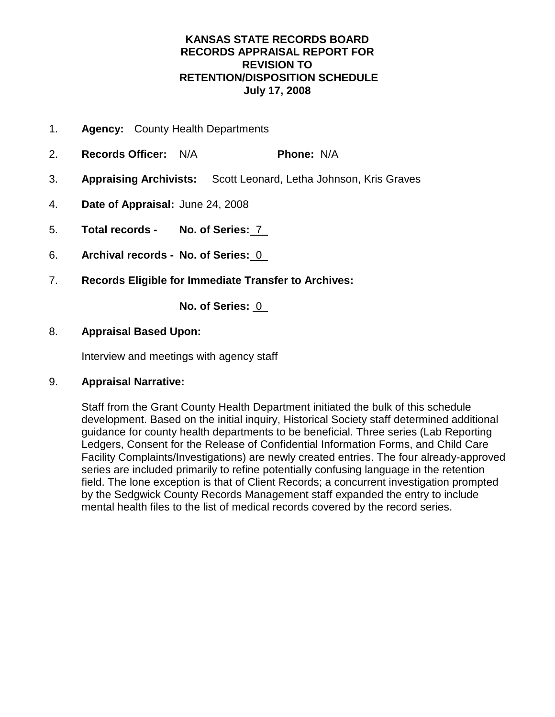- 1. **Agency:** County Health Departments
- 2. **Records Officer:** N/A **Phone:** N/A
- 3. **Appraising Archivists:** Scott Leonard, Letha Johnson, Kris Graves
- 4. **Date of Appraisal:** June 24, 2008
- 5. **Total records No. of Series:** 7
- 6. **Archival records No. of Series:** 0
- 7. **Records Eligible for Immediate Transfer to Archives:**

**No. of Series:** 0

## 8. **Appraisal Based Upon:**

Interview and meetings with agency staff

## 9. **Appraisal Narrative:**

Staff from the Grant County Health Department initiated the bulk of this schedule development. Based on the initial inquiry, Historical Society staff determined additional guidance for county health departments to be beneficial. Three series (Lab Reporting Ledgers, Consent for the Release of Confidential Information Forms, and Child Care Facility Complaints/Investigations) are newly created entries. The four already-approved series are included primarily to refine potentially confusing language in the retention field. The lone exception is that of Client Records; a concurrent investigation prompted by the Sedgwick County Records Management staff expanded the entry to include mental health files to the list of medical records covered by the record series.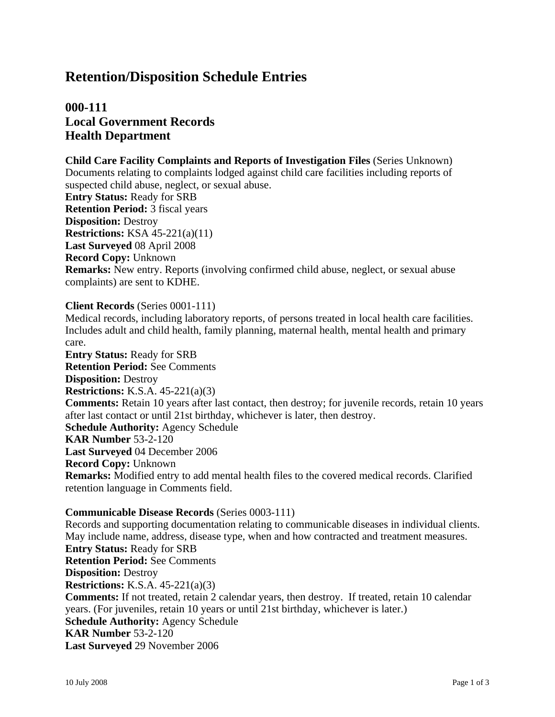## **000-111 Local Government Records Health Department**

**Child Care Facility Complaints and Reports of Investigation Files** (Series Unknown) Documents relating to complaints lodged against child care facilities including reports of suspected child abuse, neglect, or sexual abuse. **Entry Status:** Ready for SRB **Retention Period:** 3 fiscal years **Disposition:** Destroy **Restrictions:** KSA 45-221(a)(11) **Last Surveyed** 08 April 2008 **Record Copy:** Unknown **Remarks:** New entry. Reports (involving confirmed child abuse, neglect, or sexual abuse complaints) are sent to KDHE.

#### **Client Records** (Series 0001-111)

Medical records, including laboratory reports, of persons treated in local health care facilities. Includes adult and child health, family planning, maternal health, mental health and primary care.

**Entry Status:** Ready for SRB **Retention Period:** See Comments **Disposition:** Destroy **Restrictions:** K.S.A. 45-221(a)(3) **Comments:** Retain 10 years after last contact, then destroy; for juvenile records, retain 10 years after last contact or until 21st birthday, whichever is later, then destroy. **Schedule Authority:** Agency Schedule **KAR Number** 53-2-120 **Last Surveyed** 04 December 2006 **Record Copy:** Unknown **Remarks:** Modified entry to add mental health files to the covered medical records. Clarified retention language in Comments field.

#### **Communicable Disease Records** (Series 0003-111)

Records and supporting documentation relating to communicable diseases in individual clients. May include name, address, disease type, when and how contracted and treatment measures. **Entry Status:** Ready for SRB **Retention Period:** See Comments **Disposition:** Destroy **Restrictions:** K.S.A. 45-221(a)(3) **Comments:** If not treated, retain 2 calendar years, then destroy. If treated, retain 10 calendar years. (For juveniles, retain 10 years or until 21st birthday, whichever is later.) **Schedule Authority:** Agency Schedule **KAR Number** 53-2-120 **Last Surveyed** 29 November 2006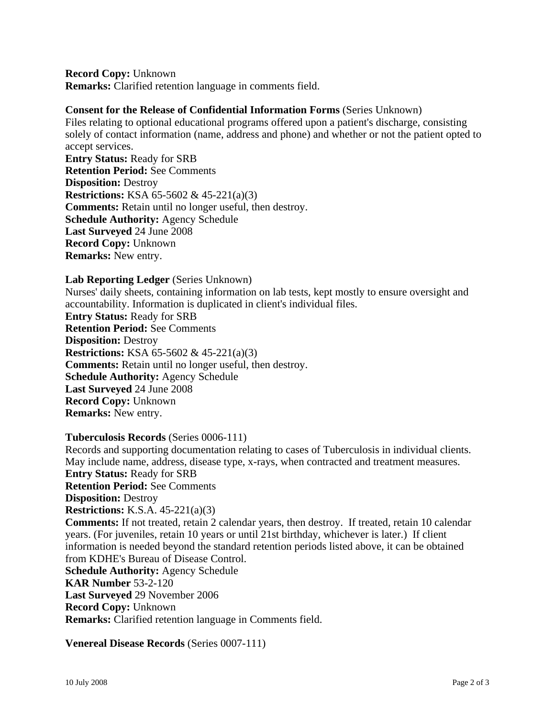**Record Copy:** Unknown **Remarks:** Clarified retention language in comments field.

#### **Consent for the Release of Confidential Information Forms** (Series Unknown)

Files relating to optional educational programs offered upon a patient's discharge, consisting solely of contact information (name, address and phone) and whether or not the patient opted to accept services.

**Entry Status:** Ready for SRB **Retention Period:** See Comments **Disposition:** Destroy **Restrictions:** KSA 65-5602 & 45-221(a)(3) **Comments:** Retain until no longer useful, then destroy. **Schedule Authority:** Agency Schedule **Last Surveyed** 24 June 2008 **Record Copy:** Unknown **Remarks:** New entry.

#### **Lab Reporting Ledger** (Series Unknown)

Nurses' daily sheets, containing information on lab tests, kept mostly to ensure oversight and accountability. Information is duplicated in client's individual files. **Entry Status:** Ready for SRB **Retention Period:** See Comments **Disposition:** Destroy **Restrictions:** KSA 65-5602 & 45-221(a)(3) **Comments:** Retain until no longer useful, then destroy. **Schedule Authority:** Agency Schedule **Last Surveyed** 24 June 2008 **Record Copy:** Unknown **Remarks:** New entry.

#### **Tuberculosis Records** (Series 0006-111)

Records and supporting documentation relating to cases of Tuberculosis in individual clients. May include name, address, disease type, x-rays, when contracted and treatment measures. **Entry Status:** Ready for SRB **Retention Period:** See Comments **Disposition:** Destroy **Restrictions:** K.S.A. 45-221(a)(3) **Comments:** If not treated, retain 2 calendar years, then destroy. If treated, retain 10 calendar years. (For juveniles, retain 10 years or until 21st birthday, whichever is later.) If client information is needed beyond the standard retention periods listed above, it can be obtained from KDHE's Bureau of Disease Control. **Schedule Authority:** Agency Schedule **KAR Number** 53-2-120 **Last Surveyed** 29 November 2006 **Record Copy:** Unknown **Remarks:** Clarified retention language in Comments field.

**Venereal Disease Records** (Series 0007-111)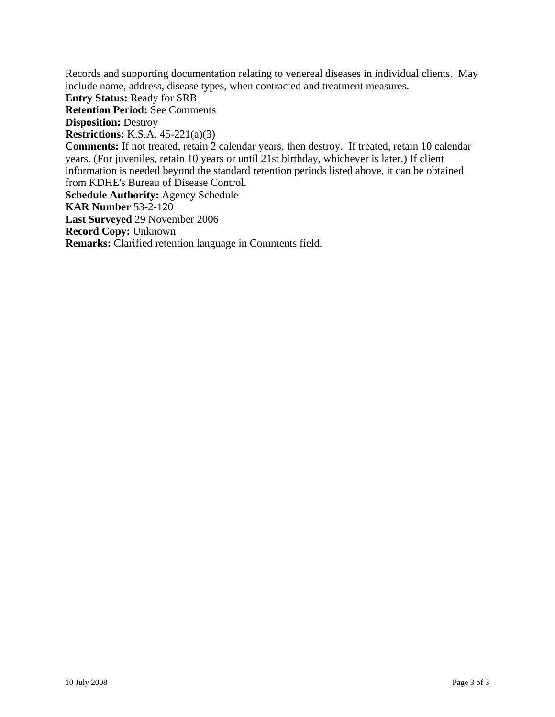Records and supporting documentation relating to venereal diseases in individual clients. May include name, address, disease types, when contracted and treatment measures. **Entry Status:** Ready for SRB **Retention Period:** See Comments **Disposition:** Destroy **Restrictions:** K.S.A. 45-221(a)(3) **Comments:** If not treated, retain 2 calendar years, then destroy. If treated, retain 10 calendar years. (For juveniles, retain 10 years or until 21st birthday, whichever is later.) If client information is needed beyond the standard retention periods listed above, it can be obtained from KDHE's Bureau of Disease Control. **Schedule Authority:** Agency Schedule **KAR Number** 53-2-120 **Last Surveyed** 29 November 2006 **Record Copy:** Unknown **Remarks:** Clarified retention language in Comments field.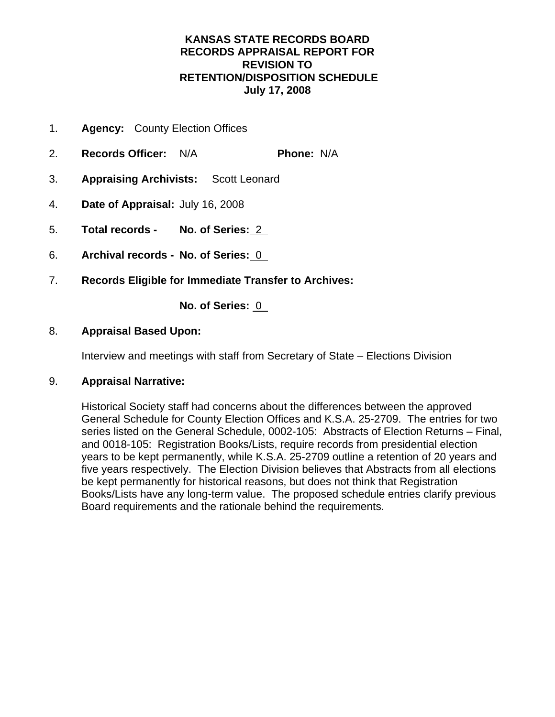- 1. **Agency:** County Election Offices
- 2. **Records Officer:** N/A **Phone:** N/A
- 3. **Appraising Archivists:** Scott Leonard
- 4. **Date of Appraisal:** July 16, 2008
- 5. **Total records No. of Series:** 2
- 6. **Archival records No. of Series:** 0
- 7. **Records Eligible for Immediate Transfer to Archives:**

**No. of Series:** 0

## 8. **Appraisal Based Upon:**

Interview and meetings with staff from Secretary of State – Elections Division

## 9. **Appraisal Narrative:**

Historical Society staff had concerns about the differences between the approved General Schedule for County Election Offices and K.S.A. 25-2709. The entries for two series listed on the General Schedule, 0002-105: Abstracts of Election Returns – Final, and 0018-105: Registration Books/Lists, require records from presidential election years to be kept permanently, while K.S.A. 25-2709 outline a retention of 20 years and five years respectively. The Election Division believes that Abstracts from all elections be kept permanently for historical reasons, but does not think that Registration Books/Lists have any long-term value. The proposed schedule entries clarify previous Board requirements and the rationale behind the requirements.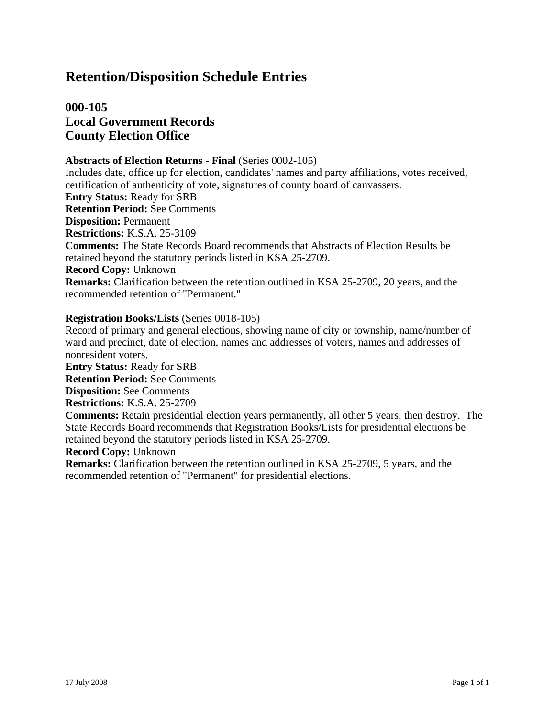## **000-105 Local Government Records County Election Office**

#### **Abstracts of Election Returns - Final** (Series 0002-105)

Includes date, office up for election, candidates' names and party affiliations, votes received, certification of authenticity of vote, signatures of county board of canvassers. **Entry Status:** Ready for SRB **Retention Period:** See Comments **Disposition:** Permanent **Restrictions:** K.S.A. 25-3109 **Comments:** The State Records Board recommends that Abstracts of Election Results be retained beyond the statutory periods listed in KSA 25-2709. **Record Copy:** Unknown **Remarks:** Clarification between the retention outlined in KSA 25-2709, 20 years, and the recommended retention of "Permanent."

#### **Registration Books/Lists** (Series 0018-105)

Record of primary and general elections, showing name of city or township, name/number of ward and precinct, date of election, names and addresses of voters, names and addresses of nonresident voters. **Entry Status:** Ready for SRB **Retention Period:** See Comments **Disposition:** See Comments **Restrictions:** K.S.A. 25-2709 **Comments:** Retain presidential election years permanently, all other 5 years, then destroy. The State Records Board recommends that Registration Books/Lists for presidential elections be retained beyond the statutory periods listed in KSA 25-2709. **Record Copy:** Unknown **Remarks:** Clarification between the retention outlined in KSA 25-2709, 5 years, and the recommended retention of "Permanent" for presidential elections.